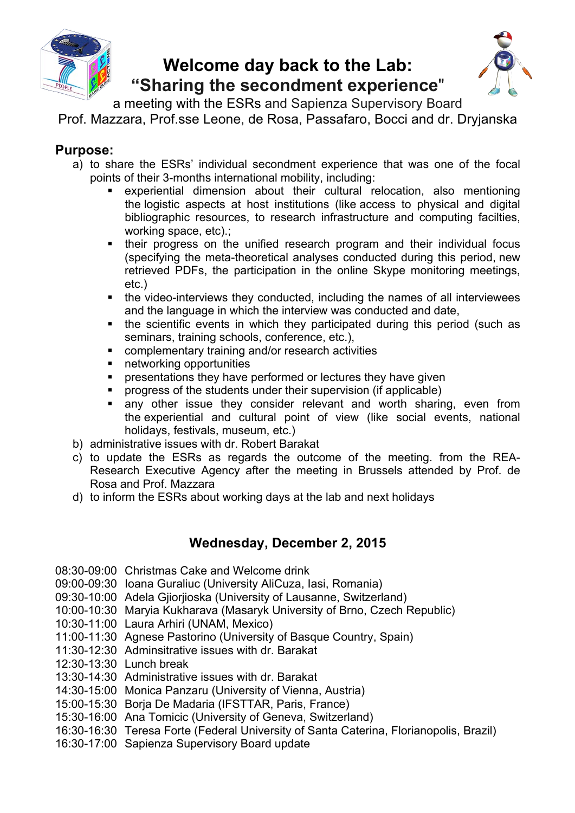

## **Welcome day back to the Lab: "Sharing the secondment experience**"



a meeting with the ESRs and Sapienza Supervisory Board Prof. Mazzara, Prof.sse Leone, de Rosa, Passafaro, Bocci and dr. Dryjanska

## **Purpose:**

- a) to share the ESRs' individual secondment experience that was one of the focal points of their 3-months international mobility, including:
	- experiential dimension about their cultural relocation, also mentioning the logistic aspects at host institutions (like access to physical and digital bibliographic resources, to research infrastructure and computing facilties, working space, etc).;
	- **.** their progress on the unified research program and their individual focus (specifying the meta-theoretical analyses conducted during this period, new retrieved PDFs, the participation in the online Skype monitoring meetings, etc.)
	- ! the video-interviews they conducted, including the names of all interviewees and the language in which the interview was conducted and date,
	- ! the scientific events in which they participated during this period (such as seminars, training schools, conference, etc.),
	- ! complementary training and/or research activities
	- **EXECUTE:** networking opportunities
	- presentations they have performed or lectures they have given
	- ! progress of the students under their supervision (if applicable)
	- **E** any other issue they consider relevant and worth sharing, even from the experiential and cultural point of view (like social events, national holidays, festivals, museum, etc.)
- b) administrative issues with dr. Robert Barakat
- c) to update the ESRs as regards the outcome of the meeting. from the REA-Research Executive Agency after the meeting in Brussels attended by Prof. de Rosa and Prof. Mazzara
- d) to inform the ESRs about working days at the lab and next holidays

## **Wednesday, December 2, 2015**

- 08:30-09:00 Christmas Cake and Welcome drink
- 09:00-09:30 Ioana Guraliuc (University AliCuza, Iasi, Romania)
- 09:30-10:00 Adela Gjiorjioska (University of Lausanne, Switzerland)
- 10:00-10:30 Maryia Kukharava (Masaryk University of Brno, Czech Republic)
- 10:30-11:00 Laura Arhiri (UNAM, Mexico)
- 11:00-11:30 Agnese Pastorino (University of Basque Country, Spain)
- 11:30-12:30 Adminsitrative issues with dr. Barakat
- 12:30-13:30 Lunch break
- 13:30-14:30 Administrative issues with dr. Barakat
- 14:30-15:00 Monica Panzaru (University of Vienna, Austria)
- 15:00-15:30 Borja De Madaria (IFSTTAR, Paris, France)
- 15:30-16:00 Ana Tomicic (University of Geneva, Switzerland)
- 16:30-16:30 Teresa Forte (Federal University of Santa Caterina, Florianopolis, Brazil)
- 16:30-17:00 Sapienza Supervisory Board update